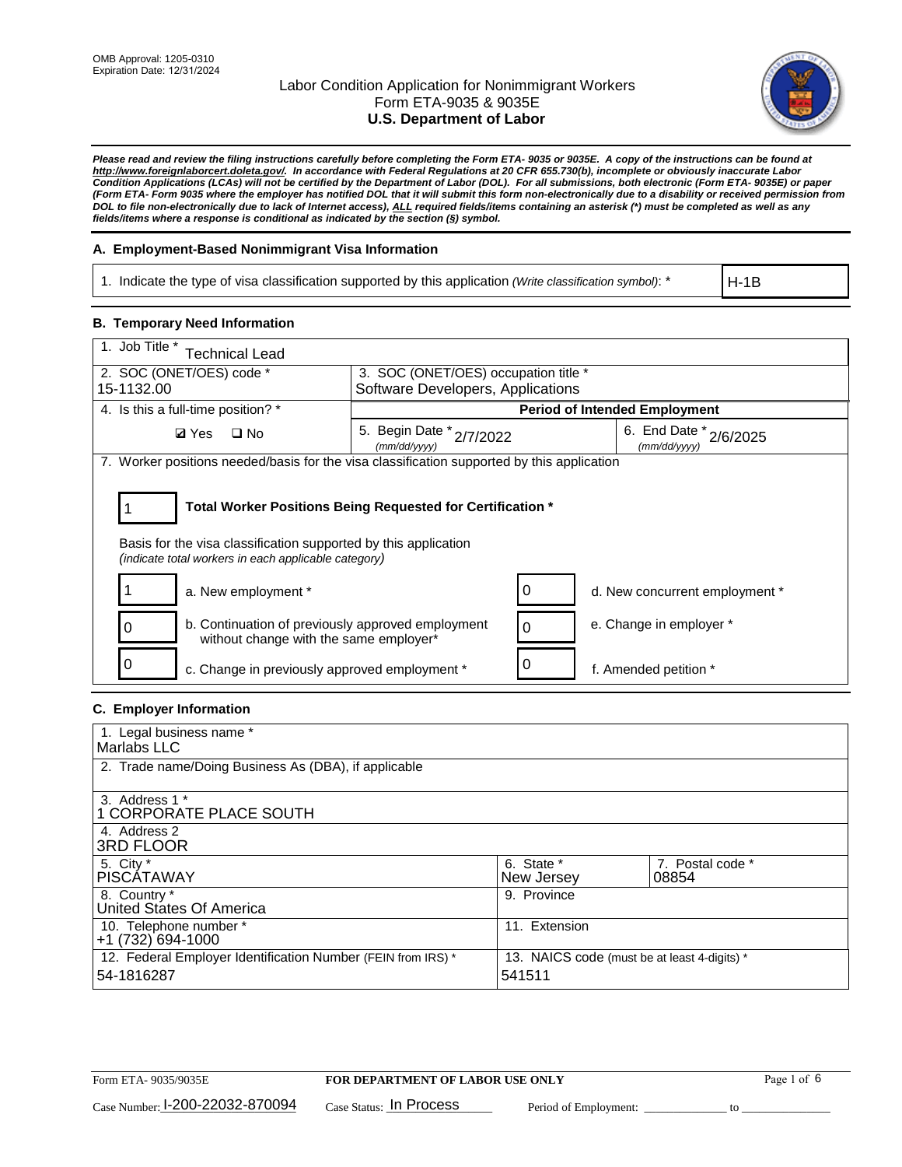

*Please read and review the filing instructions carefully before completing the Form ETA- 9035 or 9035E. A copy of the instructions can be found at http://www.foreignlaborcert.doleta.gov/. In accordance with Federal Regulations at 20 CFR 655.730(b), incomplete or obviously inaccurate Labor Condition Applications (LCAs) will not be certified by the Department of Labor (DOL). For all submissions, both electronic (Form ETA- 9035E) or paper (Form ETA- Form 9035 where the employer has notified DOL that it will submit this form non-electronically due to a disability or received permission from DOL to file non-electronically due to lack of Internet access), ALL required fields/items containing an asterisk (\*) must be completed as well as any fields/items where a response is conditional as indicated by the section (§) symbol.* 

## **A. Employment-Based Nonimmigrant Visa Information**

1. Indicate the type of visa classification supported by this application *(Write classification symbol)*: \*

H-1B

### **B. Temporary Need Information**

| 1. Job Title *<br><b>Technical Lead</b>                                                                                                                                               |                                                                                    |                                      |  |  |  |  |
|---------------------------------------------------------------------------------------------------------------------------------------------------------------------------------------|------------------------------------------------------------------------------------|--------------------------------------|--|--|--|--|
| 2. SOC (ONET/OES) code *<br>3. SOC (ONET/OES) occupation title *<br>Software Developers, Applications<br>15-1132.00                                                                   |                                                                                    |                                      |  |  |  |  |
|                                                                                                                                                                                       |                                                                                    |                                      |  |  |  |  |
| 4. Is this a full-time position? *                                                                                                                                                    |                                                                                    | <b>Period of Intended Employment</b> |  |  |  |  |
| <b>Ø</b> Yes<br>$\Box$ No                                                                                                                                                             | 6. End Date * 2/6/2025<br>5. Begin Date * 2/7/2022<br>(mm/dd/yyyy)<br>(mm/dd/yyyy) |                                      |  |  |  |  |
| 7. Worker positions needed/basis for the visa classification supported by this application                                                                                            |                                                                                    |                                      |  |  |  |  |
| Total Worker Positions Being Requested for Certification *<br>Basis for the visa classification supported by this application<br>(indicate total workers in each applicable category) |                                                                                    |                                      |  |  |  |  |
| a. New employment *                                                                                                                                                                   | O                                                                                  | d. New concurrent employment *       |  |  |  |  |
| b. Continuation of previously approved employment<br>without change with the same employer*                                                                                           | $\Omega$                                                                           | e. Change in employer *              |  |  |  |  |
| c. Change in previously approved employment *                                                                                                                                         |                                                                                    | f. Amended petition *                |  |  |  |  |

## **C. Employer Information**

| 1. Legal business name *                                                   |                                                        |                           |
|----------------------------------------------------------------------------|--------------------------------------------------------|---------------------------|
| Marlabs LLC                                                                |                                                        |                           |
| 2. Trade name/Doing Business As (DBA), if applicable                       |                                                        |                           |
| 3. Address 1 *<br>1 CORPORATE PLACE SOUTH<br>4. Address 2                  |                                                        |                           |
| <b>3RD FLOOR</b>                                                           |                                                        |                           |
| 5. City *<br><b>PISCÁTAWAY</b>                                             | 6. State *<br>New Jersey                               | 7. Postal code *<br>08854 |
| 8. Country *<br>United States Of America                                   | 9. Province                                            |                           |
| 10. Telephone number *<br>$+1(732)694-1000$                                | 11. Extension                                          |                           |
| 12. Federal Employer Identification Number (FEIN from IRS) *<br>54-1816287 | 13. NAICS code (must be at least 4-digits) *<br>541511 |                           |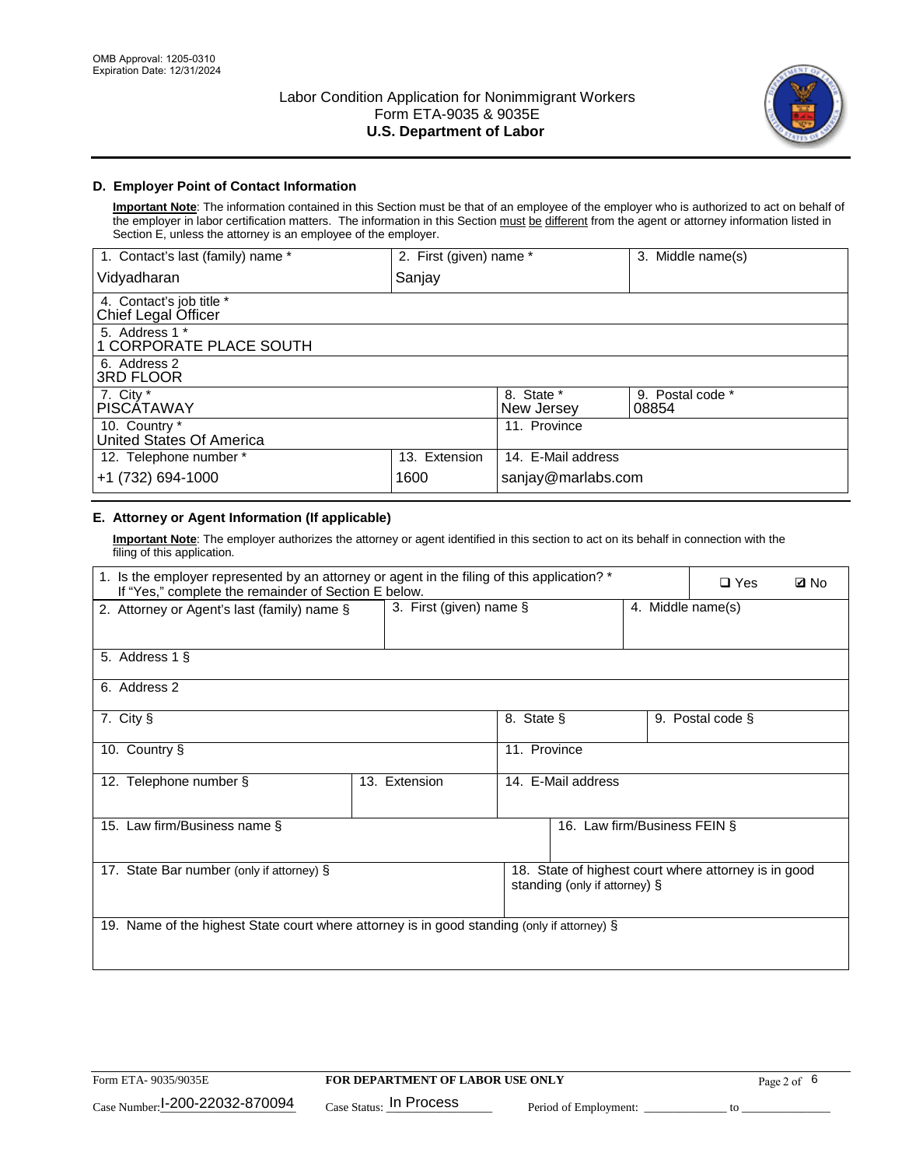

## **D. Employer Point of Contact Information**

**Important Note**: The information contained in this Section must be that of an employee of the employer who is authorized to act on behalf of the employer in labor certification matters. The information in this Section must be different from the agent or attorney information listed in Section E, unless the attorney is an employee of the employer.

| 1. Contact's last (family) name *               | 2. First (given) name * |                          | 3. Middle name(s)         |
|-------------------------------------------------|-------------------------|--------------------------|---------------------------|
| Vidyadharan                                     | Sanjay                  |                          |                           |
| 4. Contact's job title *<br>Chief Legal Officer |                         |                          |                           |
| 5. Address 1 *<br>1 CORPORATE PLACE SOUTH       |                         |                          |                           |
| 6. Address 2<br><b>3RD FLOOR</b>                |                         |                          |                           |
| 7. City *<br><b>PISCÁTAWAY</b>                  |                         | 8. State *<br>New Jersey | 9. Postal code *<br>08854 |
| 10. Country *<br>United States Of America       |                         | 11. Province             |                           |
| 12. Telephone number *                          | 13. Extension           | 14. E-Mail address       |                           |
| +1 (732) 694-1000                               | 1600                    | sanjay@marlabs.com       |                           |

## **E. Attorney or Agent Information (If applicable)**

**Important Note**: The employer authorizes the attorney or agent identified in this section to act on its behalf in connection with the filing of this application.

| 1. Is the employer represented by an attorney or agent in the filing of this application? *<br>If "Yes," complete the remainder of Section E below. |                         |              |                               |                   | $\Box$ Yes                                           | <b>ØNo</b> |
|-----------------------------------------------------------------------------------------------------------------------------------------------------|-------------------------|--------------|-------------------------------|-------------------|------------------------------------------------------|------------|
| 2. Attorney or Agent's last (family) name §                                                                                                         | 3. First (given) name § |              |                               | 4. Middle name(s) |                                                      |            |
| 5. Address 1 §                                                                                                                                      |                         |              |                               |                   |                                                      |            |
| 6. Address 2                                                                                                                                        |                         |              |                               |                   |                                                      |            |
| 7. City §                                                                                                                                           |                         | 8. State §   |                               |                   | 9. Postal code §                                     |            |
| 10. Country §                                                                                                                                       |                         | 11. Province |                               |                   |                                                      |            |
| 12. Telephone number §                                                                                                                              | 13. Extension           |              | 14. E-Mail address            |                   |                                                      |            |
| 15. Law firm/Business name §                                                                                                                        |                         |              | 16. Law firm/Business FEIN §  |                   |                                                      |            |
| 17. State Bar number (only if attorney) §                                                                                                           |                         |              | standing (only if attorney) § |                   | 18. State of highest court where attorney is in good |            |
| 19. Name of the highest State court where attorney is in good standing (only if attorney) §                                                         |                         |              |                               |                   |                                                      |            |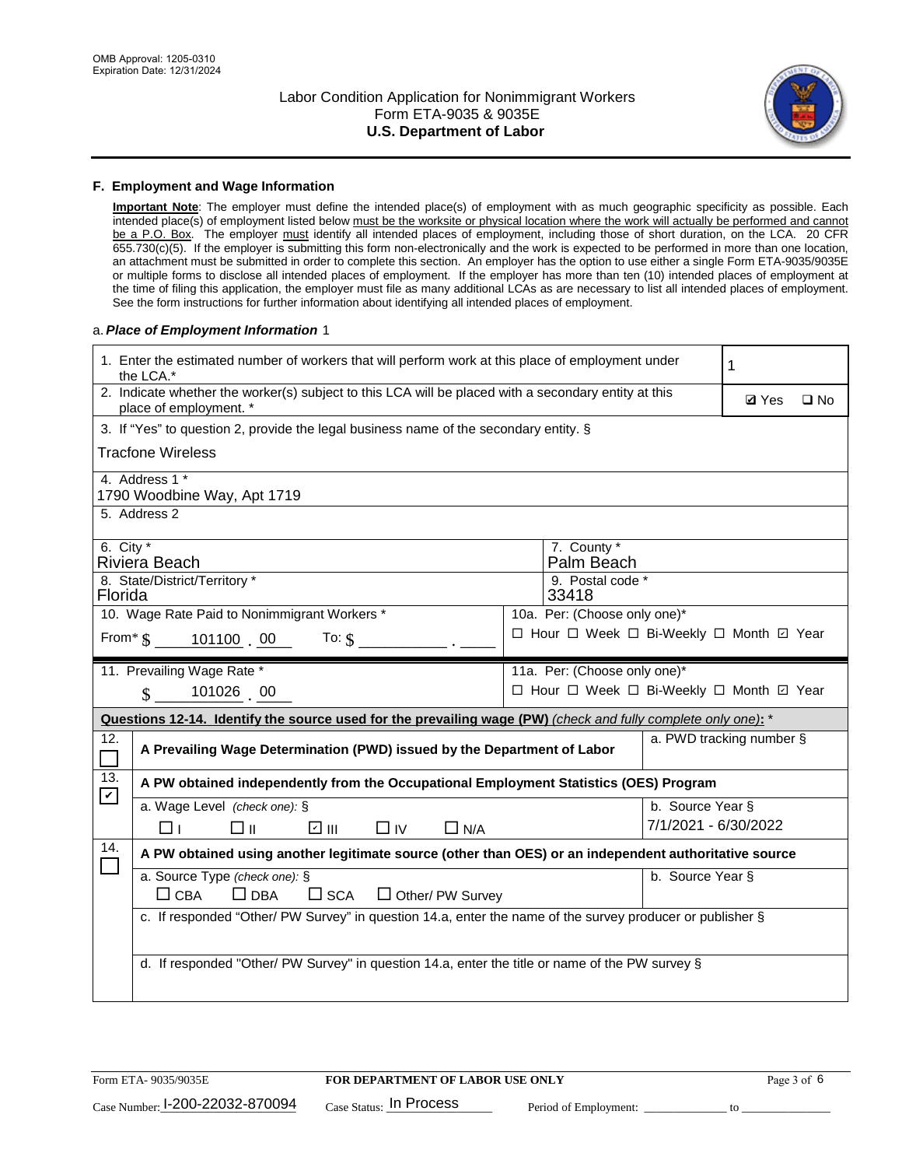

#### **F. Employment and Wage Information**

**Important Note**: The employer must define the intended place(s) of employment with as much geographic specificity as possible. Each intended place(s) of employment listed below must be the worksite or physical location where the work will actually be performed and cannot be a P.O. Box. The employer must identify all intended places of employment, including those of short duration, on the LCA. 20 CFR 655.730(c)(5). If the employer is submitting this form non-electronically and the work is expected to be performed in more than one location, an attachment must be submitted in order to complete this section. An employer has the option to use either a single Form ETA-9035/9035E or multiple forms to disclose all intended places of employment. If the employer has more than ten (10) intended places of employment at the time of filing this application, the employer must file as many additional LCAs as are necessary to list all intended places of employment. See the form instructions for further information about identifying all intended places of employment.

#### a.*Place of Employment Information* 1

| 1. Enter the estimated number of workers that will perform work at this place of employment under<br>the LCA.* |                                                                                                                                |  |                                          |                      |                          |              |  |
|----------------------------------------------------------------------------------------------------------------|--------------------------------------------------------------------------------------------------------------------------------|--|------------------------------------------|----------------------|--------------------------|--------------|--|
|                                                                                                                | 2. Indicate whether the worker(s) subject to this LCA will be placed with a secondary entity at this<br>place of employment. * |  |                                          |                      | <b>Ø</b> Yes             | $\square$ No |  |
|                                                                                                                | 3. If "Yes" to question 2, provide the legal business name of the secondary entity. §                                          |  |                                          |                      |                          |              |  |
|                                                                                                                | Tracfone Wireless                                                                                                              |  |                                          |                      |                          |              |  |
|                                                                                                                | 4. Address 1 *<br>1790 Woodbine Way, Apt 1719                                                                                  |  |                                          |                      |                          |              |  |
|                                                                                                                | 5. Address 2                                                                                                                   |  |                                          |                      |                          |              |  |
| 6. City $*$                                                                                                    | Riviera Beach                                                                                                                  |  | 7. County *<br>Palm Beach                |                      |                          |              |  |
| Florida                                                                                                        | 8. State/District/Territory *                                                                                                  |  | 9. Postal code *<br>33418                |                      |                          |              |  |
|                                                                                                                | 10. Wage Rate Paid to Nonimmigrant Workers *                                                                                   |  | 10a. Per: (Choose only one)*             |                      |                          |              |  |
|                                                                                                                | From $\frac{1}{5}$ 101100 00<br>To: $$$                                                                                        |  | □ Hour □ Week □ Bi-Weekly □ Month ☑ Year |                      |                          |              |  |
|                                                                                                                | 11. Prevailing Wage Rate *                                                                                                     |  | 11a. Per: (Choose only one)*             |                      |                          |              |  |
|                                                                                                                | 101026 00<br>$\mathbf{\hat{S}}$                                                                                                |  | □ Hour □ Week □ Bi-Weekly □ Month ☑ Year |                      |                          |              |  |
|                                                                                                                | Questions 12-14. Identify the source used for the prevailing wage (PW) (check and fully complete only one): *                  |  |                                          |                      |                          |              |  |
| 12.<br>$\mathcal{L}_{\mathcal{A}}$                                                                             | A Prevailing Wage Determination (PWD) issued by the Department of Labor                                                        |  |                                          |                      | a. PWD tracking number § |              |  |
| 13.<br>$\mathbf v$                                                                                             | A PW obtained independently from the Occupational Employment Statistics (OES) Program                                          |  |                                          |                      |                          |              |  |
|                                                                                                                | a. Wage Level (check one): §                                                                                                   |  |                                          | b. Source Year §     |                          |              |  |
|                                                                                                                | ☑ Ⅲ<br>□ ॥<br>$\Box$ IV<br>$\Box$ N/A<br>$\Box$ l                                                                              |  |                                          | 7/1/2021 - 6/30/2022 |                          |              |  |
| 14.                                                                                                            | A PW obtained using another legitimate source (other than OES) or an independent authoritative source                          |  |                                          |                      |                          |              |  |
|                                                                                                                | a. Source Type (check one): §<br>b. Source Year §<br>$\Box$ CBA<br>$\Box$ DBA<br>$\square$ SCA<br>Other/ PW Survey             |  |                                          |                      |                          |              |  |
|                                                                                                                | c. If responded "Other/ PW Survey" in question 14.a, enter the name of the survey producer or publisher §                      |  |                                          |                      |                          |              |  |
|                                                                                                                |                                                                                                                                |  |                                          |                      |                          |              |  |
|                                                                                                                | d. If responded "Other/ PW Survey" in question 14.a, enter the title or name of the PW survey §                                |  |                                          |                      |                          |              |  |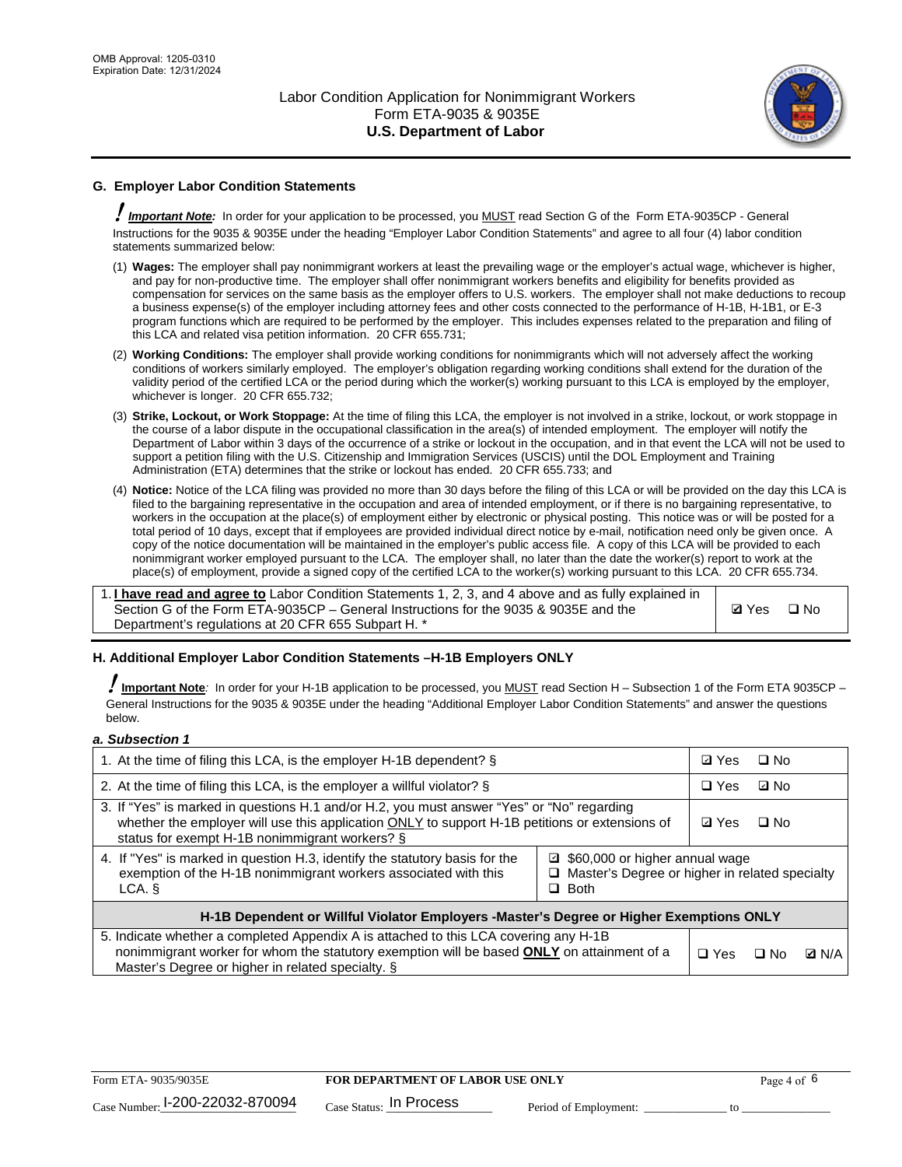

## **G. Employer Labor Condition Statements**

! *Important Note:* In order for your application to be processed, you MUST read Section G of the Form ETA-9035CP - General Instructions for the 9035 & 9035E under the heading "Employer Labor Condition Statements" and agree to all four (4) labor condition statements summarized below:

- (1) **Wages:** The employer shall pay nonimmigrant workers at least the prevailing wage or the employer's actual wage, whichever is higher, and pay for non-productive time. The employer shall offer nonimmigrant workers benefits and eligibility for benefits provided as compensation for services on the same basis as the employer offers to U.S. workers. The employer shall not make deductions to recoup a business expense(s) of the employer including attorney fees and other costs connected to the performance of H-1B, H-1B1, or E-3 program functions which are required to be performed by the employer. This includes expenses related to the preparation and filing of this LCA and related visa petition information. 20 CFR 655.731;
- (2) **Working Conditions:** The employer shall provide working conditions for nonimmigrants which will not adversely affect the working conditions of workers similarly employed. The employer's obligation regarding working conditions shall extend for the duration of the validity period of the certified LCA or the period during which the worker(s) working pursuant to this LCA is employed by the employer, whichever is longer. 20 CFR 655.732;
- (3) **Strike, Lockout, or Work Stoppage:** At the time of filing this LCA, the employer is not involved in a strike, lockout, or work stoppage in the course of a labor dispute in the occupational classification in the area(s) of intended employment. The employer will notify the Department of Labor within 3 days of the occurrence of a strike or lockout in the occupation, and in that event the LCA will not be used to support a petition filing with the U.S. Citizenship and Immigration Services (USCIS) until the DOL Employment and Training Administration (ETA) determines that the strike or lockout has ended. 20 CFR 655.733; and
- (4) **Notice:** Notice of the LCA filing was provided no more than 30 days before the filing of this LCA or will be provided on the day this LCA is filed to the bargaining representative in the occupation and area of intended employment, or if there is no bargaining representative, to workers in the occupation at the place(s) of employment either by electronic or physical posting. This notice was or will be posted for a total period of 10 days, except that if employees are provided individual direct notice by e-mail, notification need only be given once. A copy of the notice documentation will be maintained in the employer's public access file. A copy of this LCA will be provided to each nonimmigrant worker employed pursuant to the LCA. The employer shall, no later than the date the worker(s) report to work at the place(s) of employment, provide a signed copy of the certified LCA to the worker(s) working pursuant to this LCA. 20 CFR 655.734.

1. **I have read and agree to** Labor Condition Statements 1, 2, 3, and 4 above and as fully explained in Section G of the Form ETA-9035CP – General Instructions for the 9035 & 9035E and the Department's regulations at 20 CFR 655 Subpart H. \*

**Ø**Yes ロNo

### **H. Additional Employer Labor Condition Statements –H-1B Employers ONLY**

!**Important Note***:* In order for your H-1B application to be processed, you MUST read Section H – Subsection 1 of the Form ETA 9035CP – General Instructions for the 9035 & 9035E under the heading "Additional Employer Labor Condition Statements" and answer the questions below.

#### *a. Subsection 1*

| 1. At the time of filing this LCA, is the employer H-1B dependent? §                                                                                                                                                                                          |  |  | $\square$ No |              |
|---------------------------------------------------------------------------------------------------------------------------------------------------------------------------------------------------------------------------------------------------------------|--|--|--------------|--------------|
| 2. At the time of filing this LCA, is the employer a willful violator? $\S$                                                                                                                                                                                   |  |  | ⊡ No         |              |
| 3. If "Yes" is marked in questions H.1 and/or H.2, you must answer "Yes" or "No" regarding<br>whether the employer will use this application ONLY to support H-1B petitions or extensions of<br>status for exempt H-1B nonimmigrant workers? §                |  |  | $\Box$ No    |              |
| 4. If "Yes" is marked in question H.3, identify the statutory basis for the<br>■ \$60,000 or higher annual wage<br>exemption of the H-1B nonimmigrant workers associated with this<br>□ Master's Degree or higher in related specialty<br>$\Box$ Both<br>LCA. |  |  |              |              |
| H-1B Dependent or Willful Violator Employers -Master's Degree or Higher Exemptions ONLY                                                                                                                                                                       |  |  |              |              |
| 5. Indicate whether a completed Appendix A is attached to this LCA covering any H-1B<br>nonimmigrant worker for whom the statutory exemption will be based <b>ONLY</b> on attainment of a<br>Master's Degree or higher in related specialty. §                |  |  | ⊡ No         | <b>Q</b> N/A |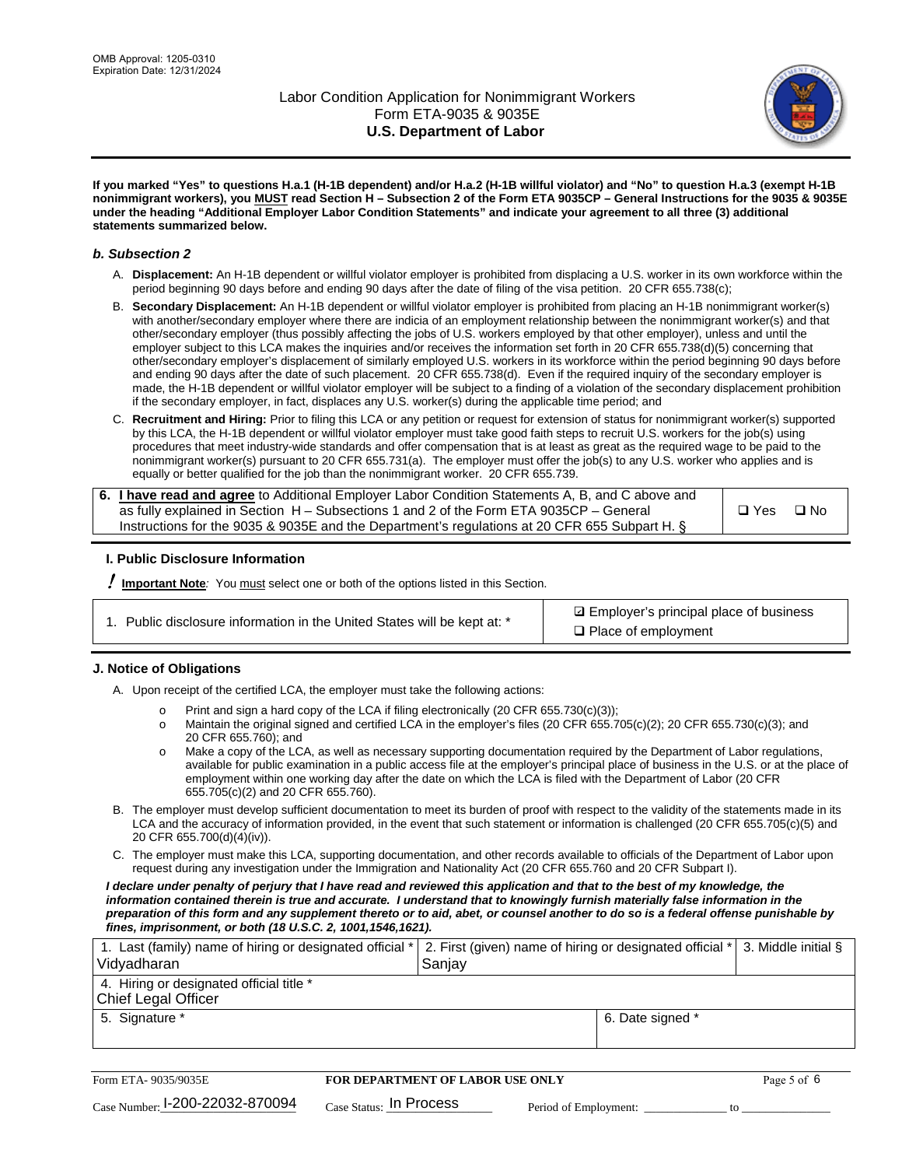

**If you marked "Yes" to questions H.a.1 (H-1B dependent) and/or H.a.2 (H-1B willful violator) and "No" to question H.a.3 (exempt H-1B nonimmigrant workers), you MUST read Section H – Subsection 2 of the Form ETA 9035CP – General Instructions for the 9035 & 9035E under the heading "Additional Employer Labor Condition Statements" and indicate your agreement to all three (3) additional statements summarized below.**

#### *b. Subsection 2*

- A. **Displacement:** An H-1B dependent or willful violator employer is prohibited from displacing a U.S. worker in its own workforce within the period beginning 90 days before and ending 90 days after the date of filing of the visa petition. 20 CFR 655.738(c);
- B. **Secondary Displacement:** An H-1B dependent or willful violator employer is prohibited from placing an H-1B nonimmigrant worker(s) with another/secondary employer where there are indicia of an employment relationship between the nonimmigrant worker(s) and that other/secondary employer (thus possibly affecting the jobs of U.S. workers employed by that other employer), unless and until the employer subject to this LCA makes the inquiries and/or receives the information set forth in 20 CFR 655.738(d)(5) concerning that other/secondary employer's displacement of similarly employed U.S. workers in its workforce within the period beginning 90 days before and ending 90 days after the date of such placement. 20 CFR 655.738(d). Even if the required inquiry of the secondary employer is made, the H-1B dependent or willful violator employer will be subject to a finding of a violation of the secondary displacement prohibition if the secondary employer, in fact, displaces any U.S. worker(s) during the applicable time period; and
- C. **Recruitment and Hiring:** Prior to filing this LCA or any petition or request for extension of status for nonimmigrant worker(s) supported by this LCA, the H-1B dependent or willful violator employer must take good faith steps to recruit U.S. workers for the job(s) using procedures that meet industry-wide standards and offer compensation that is at least as great as the required wage to be paid to the nonimmigrant worker(s) pursuant to 20 CFR 655.731(a). The employer must offer the job(s) to any U.S. worker who applies and is equally or better qualified for the job than the nonimmigrant worker. 20 CFR 655.739.

| 6. I have read and agree to Additional Employer Labor Condition Statements A, B, and C above and |       |           |
|--------------------------------------------------------------------------------------------------|-------|-----------|
| as fully explained in Section H – Subsections 1 and 2 of the Form ETA 9035CP – General           | □ Yes | $\Box$ No |
| Instructions for the 9035 & 9035E and the Department's regulations at 20 CFR 655 Subpart H. §    |       |           |

### **I. Public Disclosure Information**

! **Important Note***:* You must select one or both of the options listed in this Section.

**sqrt** Employer's principal place of business □ Place of employment

### **J. Notice of Obligations**

A. Upon receipt of the certified LCA, the employer must take the following actions:

- o Print and sign a hard copy of the LCA if filing electronically (20 CFR 655.730(c)(3));<br>
Maintain the original signed and certified LCA in the employer's files (20 CFR 655.7
- Maintain the original signed and certified LCA in the employer's files (20 CFR 655.705(c)(2); 20 CFR 655.730(c)(3); and 20 CFR 655.760); and
- o Make a copy of the LCA, as well as necessary supporting documentation required by the Department of Labor regulations, available for public examination in a public access file at the employer's principal place of business in the U.S. or at the place of employment within one working day after the date on which the LCA is filed with the Department of Labor (20 CFR 655.705(c)(2) and 20 CFR 655.760).
- B. The employer must develop sufficient documentation to meet its burden of proof with respect to the validity of the statements made in its LCA and the accuracy of information provided, in the event that such statement or information is challenged (20 CFR 655.705(c)(5) and 20 CFR 655.700(d)(4)(iv)).
- C. The employer must make this LCA, supporting documentation, and other records available to officials of the Department of Labor upon request during any investigation under the Immigration and Nationality Act (20 CFR 655.760 and 20 CFR Subpart I).

*I declare under penalty of perjury that I have read and reviewed this application and that to the best of my knowledge, the*  information contained therein is true and accurate. I understand that to knowingly furnish materially false information in the *preparation of this form and any supplement thereto or to aid, abet, or counsel another to do so is a federal offense punishable by fines, imprisonment, or both (18 U.S.C. 2, 1001,1546,1621).*

| 1. Last (family) name of hiring or designated official *   2. First (given) name of hiring or designated official *   3. Middle initial §<br>Vidyadharan | Saniav           |  |
|----------------------------------------------------------------------------------------------------------------------------------------------------------|------------------|--|
| 4. Hiring or designated official title *<br>Chief Legal Officer                                                                                          |                  |  |
| 5. Signature *                                                                                                                                           | 6. Date signed * |  |

| Form ETA-9035/9035E             | FOR DEPARTMENT OF LABOR USE ONLY   | Page 5 of 6           |  |
|---------------------------------|------------------------------------|-----------------------|--|
| Case Number: 1-200-22032-870094 | $_{\rm Case~S status:}$ In Process | Period of Employment: |  |